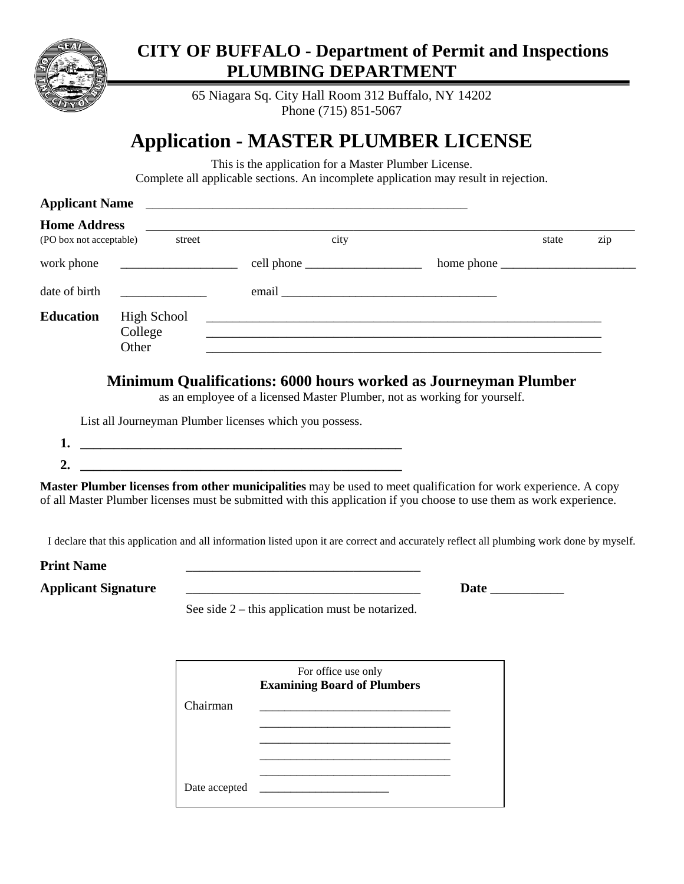

## **CITY OF BUFFALO - Department of Permit and Inspections PLUMBING DEPARTMENT**

65 Niagara Sq. City Hall Room 312 Buffalo, NY 14202 Phone (715) 851-5067

## **Application - MASTER PLUMBER LICENSE**

This is the application for a Master Plumber License. Complete all applicable sections. An incomplete application may result in rejection.

| <b>Applicant Name</b>                          |                                        |                                                                                                                       |                                                                                                                                                                                                                                                                           |       |     |
|------------------------------------------------|----------------------------------------|-----------------------------------------------------------------------------------------------------------------------|---------------------------------------------------------------------------------------------------------------------------------------------------------------------------------------------------------------------------------------------------------------------------|-------|-----|
| <b>Home Address</b><br>(PO box not acceptable) | street                                 | city                                                                                                                  |                                                                                                                                                                                                                                                                           | state | zip |
| work phone                                     |                                        |                                                                                                                       |                                                                                                                                                                                                                                                                           |       |     |
| date of birth                                  |                                        |                                                                                                                       |                                                                                                                                                                                                                                                                           |       |     |
| <b>Education</b>                               | <b>High School</b><br>College<br>Other |                                                                                                                       | <u> 1989 - Jan James James James James James James James James James James James James James James James James</u><br><b>Minimum Qualifications: 6000 hours worked as Journeyman Plumber</b><br>as an employee of a licensed Master Plumber, not as working for yourself. |       |     |
|                                                |                                        | List all Journeyman Plumber licenses which you possess.                                                               |                                                                                                                                                                                                                                                                           |       |     |
| 1.<br>2.                                       |                                        | <u> 1989 - Johann Harry Harry Harry Harry Harry Harry Harry Harry Harry Harry Harry Harry Harry Harry Harry Harry</u> |                                                                                                                                                                                                                                                                           |       |     |
|                                                |                                        |                                                                                                                       | <b>Master Plumber licenses from other municipalities</b> may be used to meet qualification for work experience. A copy<br>of all Master Plumber licenses must be submitted with this application if you choose to use them as work experience.                            |       |     |
|                                                |                                        |                                                                                                                       | I declare that this application and all information listed upon it are correct and accurately reflect all plumbing work done by myself.                                                                                                                                   |       |     |
| <b>Print Name</b>                              |                                        |                                                                                                                       |                                                                                                                                                                                                                                                                           |       |     |

| Print Name |  |
|------------|--|
|            |  |

**Applicant Signature** \_\_\_\_\_\_\_\_\_\_\_\_\_\_\_\_\_\_\_\_\_\_\_\_\_\_\_\_\_\_\_\_\_\_\_ **Date** \_\_\_\_\_\_\_\_\_\_\_

See side 2 – this application must be notarized.

|               | For office use only<br><b>Examining Board of Plumbers</b> |  |
|---------------|-----------------------------------------------------------|--|
| Chairman      |                                                           |  |
|               |                                                           |  |
|               |                                                           |  |
|               |                                                           |  |
| Date accepted |                                                           |  |